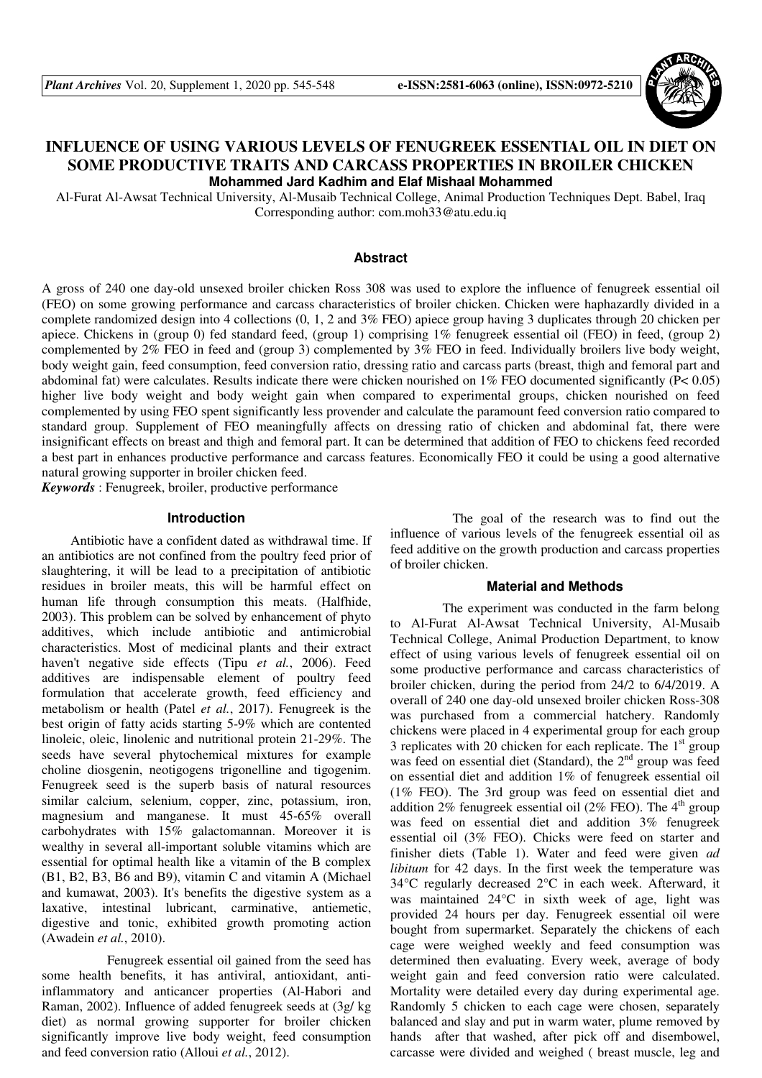

# **INFLUENCE OF USING VARIOUS LEVELS OF FENUGREEK ESSENTIAL OIL IN DIET ON SOME PRODUCTIVE TRAITS AND CARCASS PROPERTIES IN BROILER CHICKEN Mohammed Jard Kadhim and Elaf Mishaal Mohammed**

Al-Furat Al-Awsat Technical University, Al-Musaib Technical College, Animal Production Techniques Dept. Babel, Iraq Corresponding author: com.moh33@atu.edu.iq

### **Abstract**

A gross of 240 one day-old unsexed broiler chicken Ross 308 was used to explore the influence of fenugreek essential oil (FEO) on some growing performance and carcass characteristics of broiler chicken. Chicken were haphazardly divided in a complete randomized design into 4 collections (0, 1, 2 and 3% FEO) apiece group having 3 duplicates through 20 chicken per apiece. Chickens in (group 0) fed standard feed, (group 1) comprising 1% fenugreek essential oil (FEO) in feed, (group 2) complemented by 2% FEO in feed and (group 3) complemented by 3% FEO in feed. Individually broilers live body weight, body weight gain, feed consumption, feed conversion ratio, dressing ratio and carcass parts (breast, thigh and femoral part and abdominal fat) were calculates. Results indicate there were chicken nourished on  $1\%$  FEO documented significantly (P< 0.05) higher live body weight and body weight gain when compared to experimental groups, chicken nourished on feed complemented by using FEO spent significantly less provender and calculate the paramount feed conversion ratio compared to standard group. Supplement of FEO meaningfully affects on dressing ratio of chicken and abdominal fat, there were insignificant effects on breast and thigh and femoral part. It can be determined that addition of FEO to chickens feed recorded a best part in enhances productive performance and carcass features. Economically FEO it could be using a good alternative natural growing supporter in broiler chicken feed.

*Keywords* : Fenugreek, broiler, productive performance

### **Introduction**

Antibiotic have a confident dated as withdrawal time. If an antibiotics are not confined from the poultry feed prior of slaughtering, it will be lead to a precipitation of antibiotic residues in broiler meats, this will be harmful effect on human life through consumption this meats. (Halfhide, 2003). This problem can be solved by enhancement of phyto additives, which include antibiotic and antimicrobial characteristics. Most of medicinal plants and their extract haven't negative side effects (Tipu *et al.*, 2006). Feed additives are indispensable element of poultry feed formulation that accelerate growth, feed efficiency and metabolism or health (Patel *et al.*, 2017). Fenugreek is the best origin of fatty acids starting 5-9% which are contented linoleic, oleic, linolenic and nutritional protein 21-29%. The seeds have several phytochemical mixtures for example choline diosgenin, neotigogens trigonelline and tigogenim. Fenugreek seed is the superb basis of natural resources similar calcium, selenium, copper, zinc, potassium, iron, magnesium and manganese. It must 45-65% overall carbohydrates with 15% galactomannan. Moreover it is wealthy in several all-important soluble vitamins which are essential for optimal health like a vitamin of the B complex (B1, B2, B3, B6 and B9), vitamin C and vitamin A (Michael and kumawat, 2003). It's benefits the digestive system as a laxative, intestinal lubricant, carminative, antiemetic, digestive and tonic, exhibited growth promoting action (Awadein *et al.*, 2010).

 Fenugreek essential oil gained from the seed has some health benefits, it has antiviral, antioxidant, antiinflammatory and anticancer properties (Al-Habori and Raman, 2002). Influence of added fenugreek seeds at (3g/ kg diet) as normal growing supporter for broiler chicken significantly improve live body weight, feed consumption and feed conversion ratio (Alloui *et al.*, 2012).

 The goal of the research was to find out the influence of various levels of the fenugreek essential oil as feed additive on the growth production and carcass properties of broiler chicken.

#### **Material and Methods**

 The experiment was conducted in the farm belong to Al-Furat Al-Awsat Technical University, Al-Musaib Technical College, Animal Production Department, to know effect of using various levels of fenugreek essential oil on some productive performance and carcass characteristics of broiler chicken, during the period from 24/2 to 6/4/2019. A overall of 240 one day-old unsexed broiler chicken Ross-308 was purchased from a commercial hatchery. Randomly chickens were placed in 4 experimental group for each group 3 replicates with 20 chicken for each replicate. The  $1<sup>st</sup>$  group was feed on essential diet (Standard), the  $2<sup>nd</sup>$  group was feed on essential diet and addition 1% of fenugreek essential oil (1% FEO). The 3rd group was feed on essential diet and addition 2% fenugreek essential oil (2% FEO). The  $4<sup>th</sup>$  group was feed on essential diet and addition 3% fenugreek essential oil (3% FEO). Chicks were feed on starter and finisher diets (Table 1). Water and feed were given *ad libitum* for 42 days. In the first week the temperature was 34°C regularly decreased 2°C in each week. Afterward, it was maintained 24°C in sixth week of age, light was provided 24 hours per day. Fenugreek essential oil were bought from supermarket. Separately the chickens of each cage were weighed weekly and feed consumption was determined then evaluating. Every week, average of body weight gain and feed conversion ratio were calculated. Mortality were detailed every day during experimental age. Randomly 5 chicken to each cage were chosen, separately balanced and slay and put in warm water, plume removed by hands after that washed, after pick off and disembowel, carcasse were divided and weighed ( breast muscle, leg and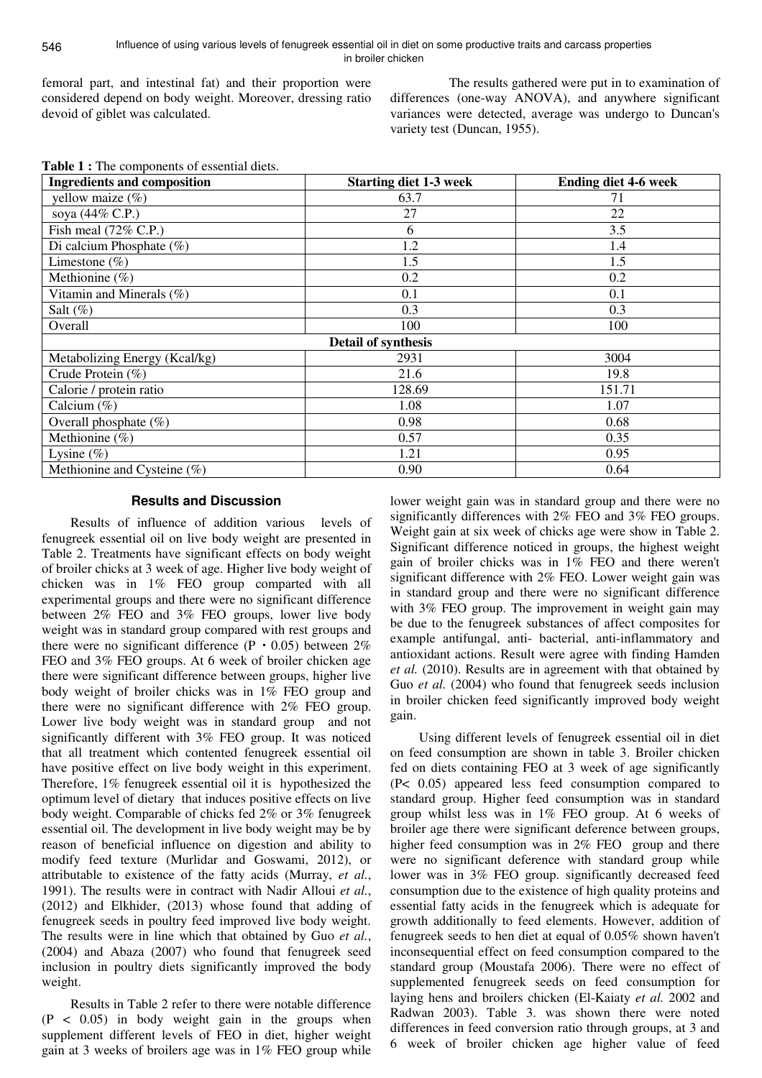femoral part, and intestinal fat) and their proportion were considered depend on body weight. Moreover, dressing ratio devoid of giblet was calculated.

 The results gathered were put in to examination of differences (one-way ANOVA), and anywhere significant variances were detected, average was undergo to Duncan's variety test (Duncan, 1955).

| Table 1 : The components of essential diets. |  |  |
|----------------------------------------------|--|--|
|----------------------------------------------|--|--|

| <b>Ingredients and composition</b> | <b>Starting diet 1-3 week</b> | <b>Ending diet 4-6 week</b> |
|------------------------------------|-------------------------------|-----------------------------|
| yellow maize $(\%)$                | 63.7                          | 71                          |
| soya (44% C.P.)                    | 27                            | 22                          |
| Fish meal $(72\%$ C.P.)            | 6                             | 3.5                         |
| Di calcium Phosphate $(\%)$        | 1.2                           | 1.4                         |
| Limestone $(\% )$                  | 1.5                           | 1.5                         |
| Methionine (%)                     | 0.2                           | 0.2                         |
| Vitamin and Minerals (%)           | 0.1                           | 0.1                         |
| Salt $(\%)$                        | 0.3                           | 0.3                         |
| Overall                            | 100                           | 100                         |
|                                    | Detail of synthesis           |                             |
| Metabolizing Energy (Kcal/kg)      | 2931                          | 3004                        |
| Crude Protein (%)                  | 21.6                          | 19.8                        |
| Calorie / protein ratio            | 128.69                        | 151.71                      |
| Calcium $(\%)$                     | 1.08                          | 1.07                        |
| Overall phosphate (%)              | 0.98                          | 0.68                        |
| Methionine $(\% )$                 | 0.57                          | 0.35                        |
| Lysine $(\%)$                      | 1.21                          | 0.95                        |
| Methionine and Cysteine (%)        | 0.90                          | 0.64                        |

# **Results and Discussion**

Results of influence of addition various levels of fenugreek essential oil on live body weight are presented in Table 2. Treatments have significant effects on body weight of broiler chicks at 3 week of age. Higher live body weight of chicken was in 1% FEO group comparted with all experimental groups and there were no significant difference between 2% FEO and 3% FEO groups, lower live body weight was in standard group compared with rest groups and there were no significant difference  $(P \tcdot 0.05)$  between 2% FEO and 3% FEO groups. At 6 week of broiler chicken age there were significant difference between groups, higher live body weight of broiler chicks was in 1% FEO group and there were no significant difference with 2% FEO group. Lower live body weight was in standard group and not significantly different with 3% FEO group. It was noticed that all treatment which contented fenugreek essential oil have positive effect on live body weight in this experiment. Therefore, 1% fenugreek essential oil it is hypothesized the optimum level of dietary that induces positive effects on live body weight. Comparable of chicks fed 2% or 3% fenugreek essential oil. The development in live body weight may be by reason of beneficial influence on digestion and ability to modify feed texture (Murlidar and Goswami, 2012), or attributable to existence of the fatty acids (Murray, *et al.*, 1991). The results were in contract with Nadir Alloui *et al.*, (2012) and Elkhider, (2013) whose found that adding of fenugreek seeds in poultry feed improved live body weight. The results were in line which that obtained by Guo *et al.*, (2004) and Abaza (2007) who found that fenugreek seed inclusion in poultry diets significantly improved the body weight.

Results in Table 2 refer to there were notable difference  $(P < 0.05)$  in body weight gain in the groups when supplement different levels of FEO in diet, higher weight gain at 3 weeks of broilers age was in 1% FEO group while

lower weight gain was in standard group and there were no significantly differences with 2% FEO and 3% FEO groups. Weight gain at six week of chicks age were show in Table 2. Significant difference noticed in groups, the highest weight gain of broiler chicks was in 1% FEO and there weren't significant difference with 2% FEO. Lower weight gain was in standard group and there were no significant difference with 3% FEO group. The improvement in weight gain may be due to the fenugreek substances of affect composites for example antifungal, anti- bacterial, anti-inflammatory and antioxidant actions. Result were agree with finding Hamden *et al.* (2010). Results are in agreement with that obtained by Guo *et al.* (2004) who found that fenugreek seeds inclusion in broiler chicken feed significantly improved body weight gain.

Using different levels of fenugreek essential oil in diet on feed consumption are shown in table 3. Broiler chicken fed on diets containing FEO at 3 week of age significantly (P< 0.05) appeared less feed consumption compared to standard group. Higher feed consumption was in standard group whilst less was in 1% FEO group. At 6 weeks of broiler age there were significant deference between groups, higher feed consumption was in 2% FEO group and there were no significant deference with standard group while lower was in 3% FEO group. significantly decreased feed consumption due to the existence of high quality proteins and essential fatty acids in the fenugreek which is adequate for growth additionally to feed elements. However, addition of fenugreek seeds to hen diet at equal of 0.05% shown haven't inconsequential effect on feed consumption compared to the standard group (Moustafa 2006). There were no effect of supplemented fenugreek seeds on feed consumption for laying hens and broilers chicken (El-Kaiaty *et al.* 2002 and Radwan 2003). Table 3. was shown there were noted differences in feed conversion ratio through groups, at 3 and 6 week of broiler chicken age higher value of feed

546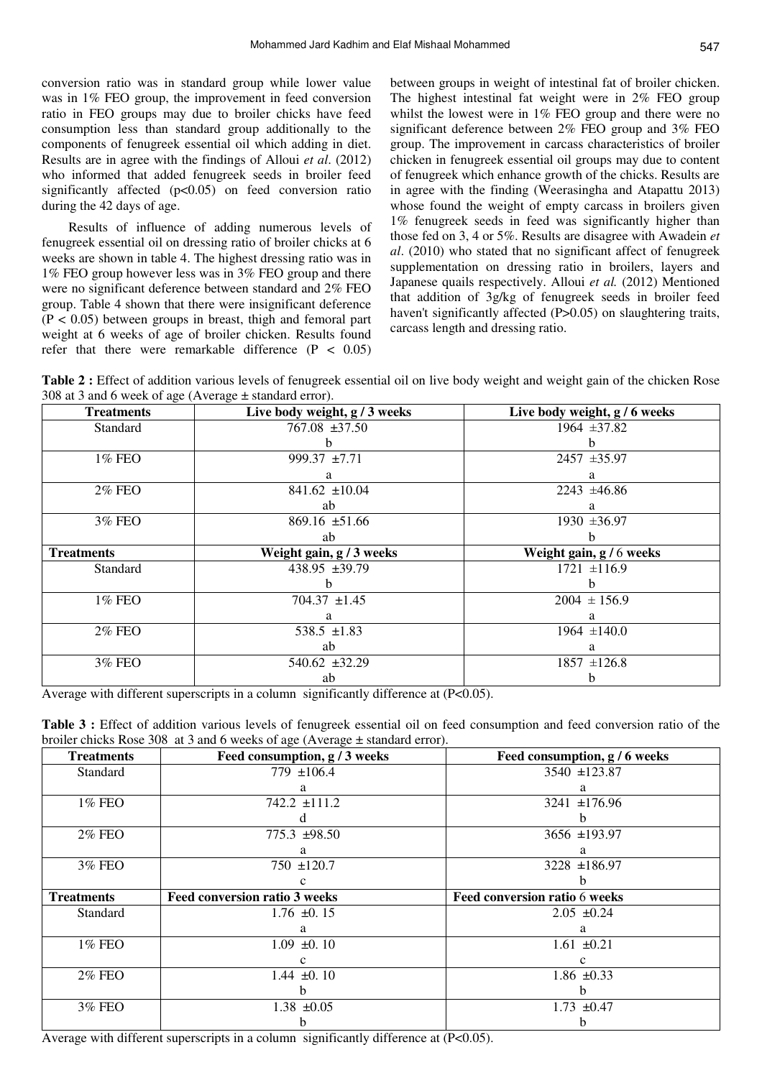conversion ratio was in standard group while lower value was in 1% FEO group, the improvement in feed conversion ratio in FEO groups may due to broiler chicks have feed consumption less than standard group additionally to the components of fenugreek essential oil which adding in diet. Results are in agree with the findings of Alloui *et al*. (2012) who informed that added fenugreek seeds in broiler feed significantly affected  $(p<0.05)$  on feed conversion ratio during the 42 days of age.

 Results of influence of adding numerous levels of fenugreek essential oil on dressing ratio of broiler chicks at 6 weeks are shown in table 4. The highest dressing ratio was in 1% FEO group however less was in 3% FEO group and there were no significant deference between standard and 2% FEO group. Table 4 shown that there were insignificant deference  $(P < 0.05)$  between groups in breast, thigh and femoral part weight at 6 weeks of age of broiler chicken. Results found refer that there were remarkable difference  $(P < 0.05)$  between groups in weight of intestinal fat of broiler chicken. The highest intestinal fat weight were in 2% FEO group whilst the lowest were in 1% FEO group and there were no significant deference between 2% FEO group and 3% FEO group. The improvement in carcass characteristics of broiler chicken in fenugreek essential oil groups may due to content of fenugreek which enhance growth of the chicks. Results are in agree with the finding (Weerasingha and Atapattu 2013) whose found the weight of empty carcass in broilers given 1% fenugreek seeds in feed was significantly higher than those fed on 3, 4 or 5%. Results are disagree with Awadein *et al*. (2010) who stated that no significant affect of fenugreek supplementation on dressing ratio in broilers, layers and Japanese quails respectively. Alloui *et al.* (2012) Mentioned that addition of 3g/kg of fenugreek seeds in broiler feed haven't significantly affected (P>0.05) on slaughtering traits, carcass length and dressing ratio.

**Table 2**: Effect of addition various levels of fenugreek essential oil on live body weight and weight gain of the chicken Rose 308 at 3 and 6 week of age (Average  $\pm$  standard error).

| <b>Treatments</b> | Live body weight, g / 3 weeks | Live body weight, g / 6 weeks |
|-------------------|-------------------------------|-------------------------------|
| Standard          | 767.08 ±37.50                 | 1964 $\pm 37.82$              |
|                   | h.                            |                               |
| 1% FEO            | 999.37 ±7.71                  | $2457 + 35.97$                |
|                   | a                             | a                             |
| <b>2% FEO</b>     | 841.62 $\pm 10.04$            | $2243 \pm 46.86$              |
|                   | ab                            | a                             |
| 3% FEO            | $869.16 \pm 51.66$            | 1930 ± 36.97                  |
|                   | ab                            |                               |
| <b>Treatments</b> | Weight gain, g / 3 weeks      | Weight gain, g / 6 weeks      |
| Standard          | 438.95 ±39.79                 | $1721 \pm 116.9$              |
|                   | h.                            |                               |
| 1% FEO            | $704.37 \pm 1.45$             | $2004 \pm 156.9$              |
|                   | a                             | a                             |
| <b>2% FEO</b>     | 538.5 $\pm 1.83$              | $1964 \pm 140.0$              |
|                   | ab                            | a                             |
| 3% FEO            | 540.62 ±32.29                 | $1857 \pm 126.8$              |
|                   | ab                            |                               |

Average with different superscripts in a column significantly difference at (P<0.05).

| Table 3 : Effect of addition various levels of fenugreek essential oil on feed consumption and feed conversion ratio of the |  |  |  |  |  |
|-----------------------------------------------------------------------------------------------------------------------------|--|--|--|--|--|
| broiler chicks Rose 308 at 3 and 6 weeks of age (Average $\pm$ standard error).                                             |  |  |  |  |  |

| <b>Treatments</b> | Feed consumption, g / 3 weeks        | Feed consumption, g / 6 weeks |
|-------------------|--------------------------------------|-------------------------------|
| Standard          | 779 $\pm 106.4$                      | 3540 ±123.87                  |
|                   | а                                    | a                             |
| 1% FEO            | 742.2 ±111.2                         | 3241 $\pm$ 176.96             |
|                   |                                      |                               |
| <b>2% FEO</b>     | $775.3 \pm 98.50$                    | 3656 ±193.97                  |
|                   | a                                    | a                             |
| 3% FEO            | $750 \pm 120.7$                      | 3228 ±186.97                  |
|                   |                                      |                               |
| <b>Treatments</b> | <b>Feed conversion ratio 3 weeks</b> | Feed conversion ratio 6 weeks |
| Standard          | $1.76 \pm 0.15$                      | $2.05 \pm 0.24$               |
|                   | a                                    | a                             |
| 1% FEO            | $1.09 \pm 0.10$                      | $1.61 \pm 0.21$               |
|                   |                                      |                               |
| <b>2% FEO</b>     | 1.44 $\pm 0.10$                      | 1.86 $\pm 0.33$               |
|                   |                                      | h.                            |
| 3% FEO            | $1.38 \pm 0.05$                      | $1.73 \pm 0.47$               |
|                   |                                      | n                             |

Average with different superscripts in a column significantly difference at (P<0.05).